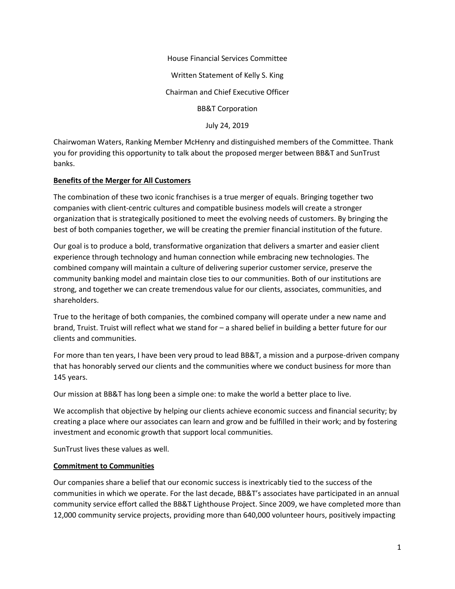House Financial Services Committee Written Statement of Kelly S. King Chairman and Chief Executive Officer BB&T Corporation July 24, 2019

Chairwoman Waters, Ranking Member McHenry and distinguished members of the Committee. Thank you for providing this opportunity to talk about the proposed merger between BB&T and SunTrust banks.

## **Benefits of the Merger for All Customers**

The combination of these two iconic franchises is a true merger of equals. Bringing together two companies with client-centric cultures and compatible business models will create a stronger organization that is strategically positioned to meet the evolving needs of customers. By bringing the best of both companies together, we will be creating the premier financial institution of the future.

Our goal is to produce a bold, transformative organization that delivers a smarter and easier client experience through technology and human connection while embracing new technologies. The combined company will maintain a culture of delivering superior customer service, preserve the community banking model and maintain close ties to our communities. Both of our institutions are strong, and together we can create tremendous value for our clients, associates, communities, and shareholders.

True to the heritage of both companies, the combined company will operate under a new name and brand, Truist. Truist will reflect what we stand for – a shared belief in building a better future for our clients and communities.

For more than ten years, I have been very proud to lead BB&T, a mission and a purpose-driven company that has honorably served our clients and the communities where we conduct business for more than 145 years.

Our mission at BB&T has long been a simple one: to make the world a better place to live.

We accomplish that objective by helping our clients achieve economic success and financial security; by creating a place where our associates can learn and grow and be fulfilled in their work; and by fostering investment and economic growth that support local communities.

SunTrust lives these values as well.

### **Commitment to Communities**

Our companies share a belief that our economic success is inextricably tied to the success of the communities in which we operate. For the last decade, BB&T's associates have participated in an annual community service effort called the BB&T Lighthouse Project. Since 2009, we have completed more than 12,000 community service projects, providing more than 640,000 volunteer hours, positively impacting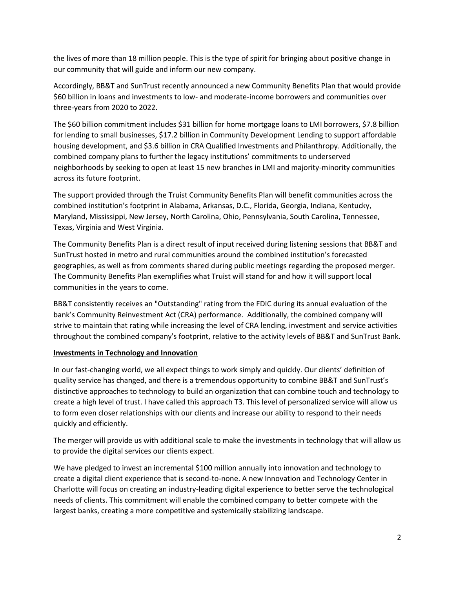the lives of more than 18 million people. This is the type of spirit for bringing about positive change in our community that will guide and inform our new company.

Accordingly, BB&T and SunTrust recently announced a new Community Benefits Plan that would provide \$60 billion in loans and investments to low- and moderate-income borrowers and communities over three-years from 2020 to 2022.

The \$60 billion commitment includes \$31 billion for home mortgage loans to LMI borrowers, \$7.8 billion for lending to small businesses, \$17.2 billion in Community Development Lending to support affordable housing development, and \$3.6 billion in CRA Qualified Investments and Philanthropy. Additionally, the combined company plans to further the legacy institutions' commitments to underserved neighborhoods by seeking to open at least 15 new branches in LMI and majority-minority communities across its future footprint.

The support provided through the Truist Community Benefits Plan will benefit communities across the combined institution's footprint in Alabama, Arkansas, D.C., Florida, Georgia, Indiana, Kentucky, Maryland, Mississippi, New Jersey, North Carolina, Ohio, Pennsylvania, South Carolina, Tennessee, Texas, Virginia and West Virginia.

The Community Benefits Plan is a direct result of input received during listening sessions that BB&T and SunTrust hosted in metro and rural communities around the combined institution's forecasted geographies, as well as from comments shared during public meetings regarding the proposed merger. The Community Benefits Plan exemplifies what Truist will stand for and how it will support local communities in the years to come.

BB&T consistently receives an "Outstanding" rating from the FDIC during its annual evaluation of the bank's Community Reinvestment Act (CRA) performance. Additionally, the combined company will strive to maintain that rating while increasing the level of CRA lending, investment and service activities throughout the combined company's footprint, relative to the activity levels of BB&T and SunTrust Bank.

### **Investments in Technology and Innovation**

In our fast-changing world, we all expect things to work simply and quickly. Our clients' definition of quality service has changed, and there is a tremendous opportunity to combine BB&T and SunTrust's distinctive approaches to technology to build an organization that can combine touch and technology to create a high level of trust. I have called this approach T3. This level of personalized service will allow us to form even closer relationships with our clients and increase our ability to respond to their needs quickly and efficiently.

The merger will provide us with additional scale to make the investments in technology that will allow us to provide the digital services our clients expect.

We have pledged to invest an incremental \$100 million annually into innovation and technology to create a digital client experience that is second-to-none. A new Innovation and Technology Center in Charlotte will focus on creating an industry-leading digital experience to better serve the technological needs of clients. This commitment will enable the combined company to better compete with the largest banks, creating a more competitive and systemically stabilizing landscape.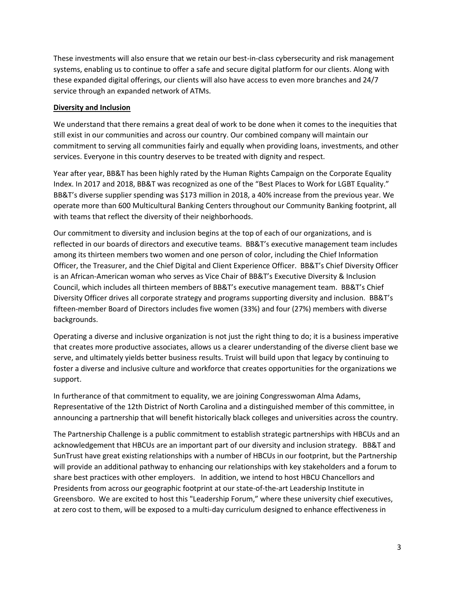These investments will also ensure that we retain our best-in-class cybersecurity and risk management systems, enabling us to continue to offer a safe and secure digital platform for our clients. Along with these expanded digital offerings, our clients will also have access to even more branches and 24/7 service through an expanded network of ATMs.

## **Diversity and Inclusion**

We understand that there remains a great deal of work to be done when it comes to the inequities that still exist in our communities and across our country. Our combined company will maintain our commitment to serving all communities fairly and equally when providing loans, investments, and other services. Everyone in this country deserves to be treated with dignity and respect.

Year after year, BB&T has been highly rated by the Human Rights Campaign on the Corporate Equality Index. In 2017 and 2018, BB&T was recognized as one of the "Best Places to Work for LGBT Equality." BB&T's diverse supplier spending was \$173 million in 2018, a 40% increase from the previous year. We operate more than 600 Multicultural Banking Centers throughout our Community Banking footprint, all with teams that reflect the diversity of their neighborhoods.

Our commitment to diversity and inclusion begins at the top of each of our organizations, and is reflected in our boards of directors and executive teams. BB&T's executive management team includes among its thirteen members two women and one person of color, including the Chief Information Officer, the Treasurer, and the Chief Digital and Client Experience Officer. BB&T's Chief Diversity Officer is an African-American woman who serves as Vice Chair of BB&T's Executive Diversity & Inclusion Council, which includes all thirteen members of BB&T's executive management team. BB&T's Chief Diversity Officer drives all corporate strategy and programs supporting diversity and inclusion. BB&T's fifteen-member Board of Directors includes five women (33%) and four (27%) members with diverse backgrounds.

Operating a diverse and inclusive organization is not just the right thing to do; it is a business imperative that creates more productive associates, allows us a clearer understanding of the diverse client base we serve, and ultimately yields better business results. Truist will build upon that legacy by continuing to foster a diverse and inclusive culture and workforce that creates opportunities for the organizations we support.

In furtherance of that commitment to equality, we are joining Congresswoman Alma Adams, Representative of the 12th District of North Carolina and a distinguished member of this committee, in announcing a partnership that will benefit historically black colleges and universities across the country.

The Partnership Challenge is a public commitment to establish strategic partnerships with HBCUs and an acknowledgement that HBCUs are an important part of our diversity and inclusion strategy. BB&T and SunTrust have great existing relationships with a number of HBCUs in our footprint, but the Partnership will provide an additional pathway to enhancing our relationships with key stakeholders and a forum to share best practices with other employers. In addition, we intend to host HBCU Chancellors and Presidents from across our geographic footprint at our state-of-the-art Leadership Institute in Greensboro. We are excited to host this "Leadership Forum," where these university chief executives, at zero cost to them, will be exposed to a multi-day curriculum designed to enhance effectiveness in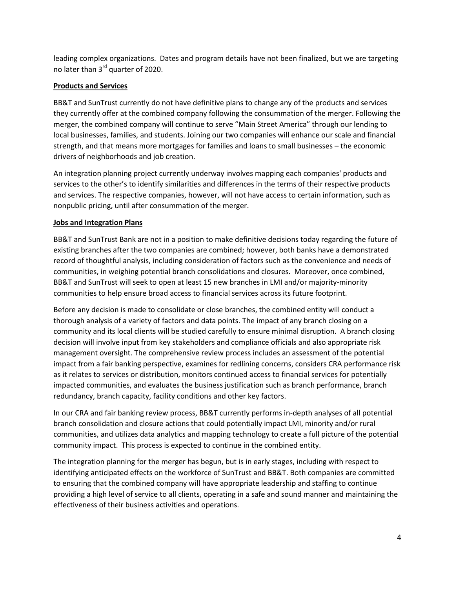leading complex organizations. Dates and program details have not been finalized, but we are targeting no later than 3<sup>rd</sup> quarter of 2020.

# **Products and Services**

BB&T and SunTrust currently do not have definitive plans to change any of the products and services they currently offer at the combined company following the consummation of the merger. Following the merger, the combined company will continue to serve "Main Street America" through our lending to local businesses, families, and students. Joining our two companies will enhance our scale and financial strength, and that means more mortgages for families and loans to small businesses – the economic drivers of neighborhoods and job creation.

An integration planning project currently underway involves mapping each companies' products and services to the other's to identify similarities and differences in the terms of their respective products and services. The respective companies, however, will not have access to certain information, such as nonpublic pricing, until after consummation of the merger.

# **Jobs and Integration Plans**

BB&T and SunTrust Bank are not in a position to make definitive decisions today regarding the future of existing branches after the two companies are combined; however, both banks have a demonstrated record of thoughtful analysis, including consideration of factors such as the convenience and needs of communities, in weighing potential branch consolidations and closures. Moreover, once combined, BB&T and SunTrust will seek to open at least 15 new branches in LMI and/or majority-minority communities to help ensure broad access to financial services across its future footprint.

Before any decision is made to consolidate or close branches, the combined entity will conduct a thorough analysis of a variety of factors and data points. The impact of any branch closing on a community and its local clients will be studied carefully to ensure minimal disruption. A branch closing decision will involve input from key stakeholders and compliance officials and also appropriate risk management oversight. The comprehensive review process includes an assessment of the potential impact from a fair banking perspective, examines for redlining concerns, considers CRA performance risk as it relates to services or distribution, monitors continued access to financial services for potentially impacted communities, and evaluates the business justification such as branch performance, branch redundancy, branch capacity, facility conditions and other key factors.

In our CRA and fair banking review process, BB&T currently performs in-depth analyses of all potential branch consolidation and closure actions that could potentially impact LMI, minority and/or rural communities, and utilizes data analytics and mapping technology to create a full picture of the potential community impact. This process is expected to continue in the combined entity.

The integration planning for the merger has begun, but is in early stages, including with respect to identifying anticipated effects on the workforce of SunTrust and BB&T. Both companies are committed to ensuring that the combined company will have appropriate leadership and staffing to continue providing a high level of service to all clients, operating in a safe and sound manner and maintaining the effectiveness of their business activities and operations.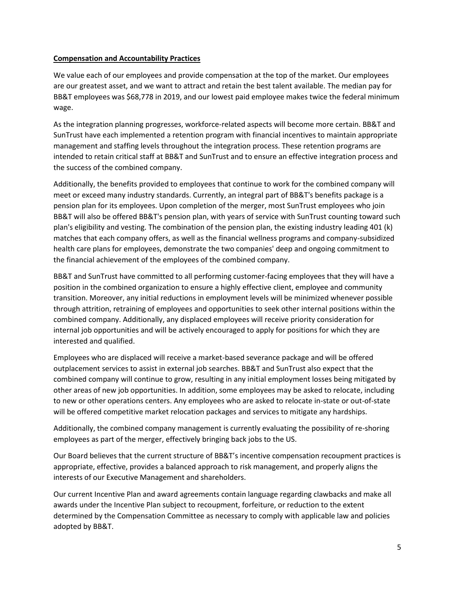### **Compensation and Accountability Practices**

We value each of our employees and provide compensation at the top of the market. Our employees are our greatest asset, and we want to attract and retain the best talent available. The median pay for BB&T employees was \$68,778 in 2019, and our lowest paid employee makes twice the federal minimum wage.

As the integration planning progresses, workforce-related aspects will become more certain. BB&T and SunTrust have each implemented a retention program with financial incentives to maintain appropriate management and staffing levels throughout the integration process. These retention programs are intended to retain critical staff at BB&T and SunTrust and to ensure an effective integration process and the success of the combined company.

Additionally, the benefits provided to employees that continue to work for the combined company will meet or exceed many industry standards. Currently, an integral part of BB&T's benefits package is a pension plan for its employees. Upon completion of the merger, most SunTrust employees who join BB&T will also be offered BB&T's pension plan, with years of service with SunTrust counting toward such plan's eligibility and vesting. The combination of the pension plan, the existing industry leading 401 (k) matches that each company offers, as well as the financial wellness programs and company-subsidized health care plans for employees, demonstrate the two companies' deep and ongoing commitment to the financial achievement of the employees of the combined company.

BB&T and SunTrust have committed to all performing customer-facing employees that they will have a position in the combined organization to ensure a highly effective client, employee and community transition. Moreover, any initial reductions in employment levels will be minimized whenever possible through attrition, retraining of employees and opportunities to seek other internal positions within the combined company. Additionally, any displaced employees will receive priority consideration for internal job opportunities and will be actively encouraged to apply for positions for which they are interested and qualified.

Employees who are displaced will receive a market-based severance package and will be offered outplacement services to assist in external job searches. BB&T and SunTrust also expect that the combined company will continue to grow, resulting in any initial employment losses being mitigated by other areas of new job opportunities. In addition, some employees may be asked to relocate, including to new or other operations centers. Any employees who are asked to relocate in-state or out-of-state will be offered competitive market relocation packages and services to mitigate any hardships.

Additionally, the combined company management is currently evaluating the possibility of re-shoring employees as part of the merger, effectively bringing back jobs to the US.

Our Board believes that the current structure of BB&T's incentive compensation recoupment practices is appropriate, effective, provides a balanced approach to risk management, and properly aligns the interests of our Executive Management and shareholders.

Our current Incentive Plan and award agreements contain language regarding clawbacks and make all awards under the Incentive Plan subject to recoupment, forfeiture, or reduction to the extent determined by the Compensation Committee as necessary to comply with applicable law and policies adopted by BB&T.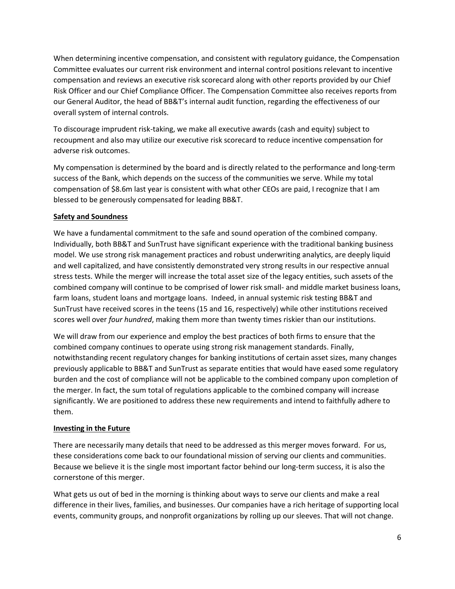When determining incentive compensation, and consistent with regulatory guidance, the Compensation Committee evaluates our current risk environment and internal control positions relevant to incentive compensation and reviews an executive risk scorecard along with other reports provided by our Chief Risk Officer and our Chief Compliance Officer. The Compensation Committee also receives reports from our General Auditor, the head of BB&T's internal audit function, regarding the effectiveness of our overall system of internal controls.

To discourage imprudent risk-taking, we make all executive awards (cash and equity) subject to recoupment and also may utilize our executive risk scorecard to reduce incentive compensation for adverse risk outcomes.

My compensation is determined by the board and is directly related to the performance and long-term success of the Bank, which depends on the success of the communities we serve. While my total compensation of \$8.6m last year is consistent with what other CEOs are paid, I recognize that I am blessed to be generously compensated for leading BB&T.

# **Safety and Soundness**

We have a fundamental commitment to the safe and sound operation of the combined company. Individually, both BB&T and SunTrust have significant experience with the traditional banking business model. We use strong risk management practices and robust underwriting analytics, are deeply liquid and well capitalized, and have consistently demonstrated very strong results in our respective annual stress tests. While the merger will increase the total asset size of the legacy entities, such assets of the combined company will continue to be comprised of lower risk small- and middle market business loans, farm loans, student loans and mortgage loans. Indeed, in annual systemic risk testing BB&T and SunTrust have received scores in the teens (15 and 16, respectively) while other institutions received scores well over *four hundred*, making them more than twenty times riskier than our institutions.

We will draw from our experience and employ the best practices of both firms to ensure that the combined company continues to operate using strong risk management standards. Finally, notwithstanding recent regulatory changes for banking institutions of certain asset sizes, many changes previously applicable to BB&T and SunTrust as separate entities that would have eased some regulatory burden and the cost of compliance will not be applicable to the combined company upon completion of the merger. In fact, the sum total of regulations applicable to the combined company will increase significantly. We are positioned to address these new requirements and intend to faithfully adhere to them.

### **Investing in the Future**

There are necessarily many details that need to be addressed as this merger moves forward. For us, these considerations come back to our foundational mission of serving our clients and communities. Because we believe it is the single most important factor behind our long-term success, it is also the cornerstone of this merger.

What gets us out of bed in the morning is thinking about ways to serve our clients and make a real difference in their lives, families, and businesses. Our companies have a rich heritage of supporting local events, community groups, and nonprofit organizations by rolling up our sleeves. That will not change.